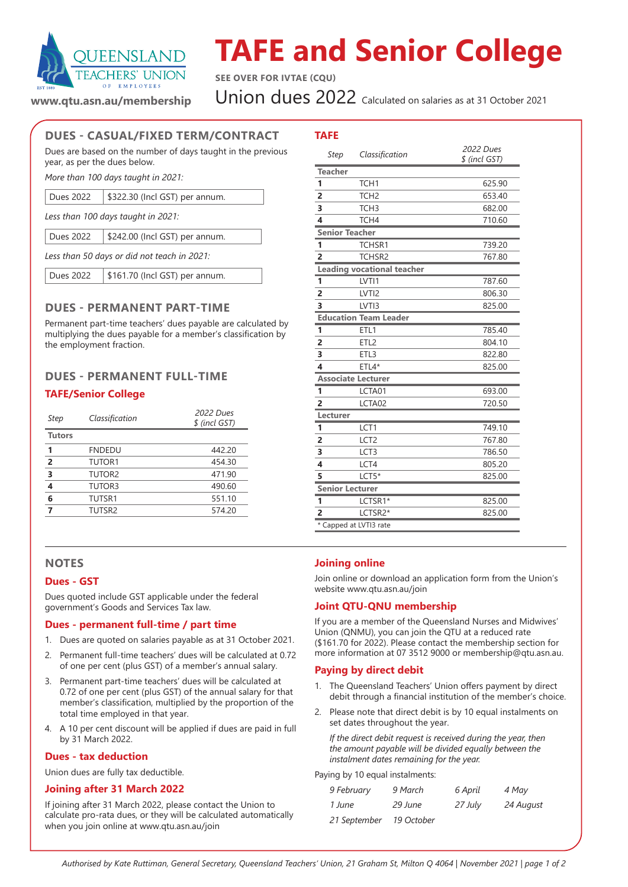

# **TAFE and Senior College**

**SEE OVER FOR IVTAE (CQU)**

Union dues 2022 Calculated on salaries as at 31 October 2021

**www.qtu.asn.au/membership**

# **DUES - CASUAL/FIXED TERM/CONTRACT**

Dues are based on the number of days taught in the previous year, as per the dues below.

*More than 100 days taught in 2021:*

*Less than 100 days taught in 2021:*

Dues 2022 | \$242.00 (Incl GST) per annum.

*Less than 50 days or did not teach in 2021:*

Dues 2022 | \$161.70 (Incl GST) per annum.

# **DUES - PERMANENT PART-TIME**

Permanent part-time teachers' dues payable are calculated by multiplying the dues payable for a member's classification by the employment fraction.

# **DUES - PERMANENT FULL-TIME**

# **TAFE/Senior College**

| Step           | Classification     | 2022 Dues<br>\$ (incl GST) |
|----------------|--------------------|----------------------------|
| <b>Tutors</b>  |                    |                            |
| 1              | <b>FNDEDU</b>      | 442.20                     |
| $\overline{2}$ | TUTOR <sub>1</sub> | 454.30                     |
| 3              | TUTOR <sub>2</sub> | 471.90                     |
| 4              | TUTOR3             | 490.60                     |
| 6              | TUTSR1             | 551.10                     |
|                | TUTSR2             | 574.20                     |
|                |                    |                            |

### **NOTES**

### **Dues - GST**

Dues quoted include GST applicable under the federal government's Goods and Services Tax law.

### **Dues - permanent full-time / part time**

- 1. Dues are quoted on salaries payable as at 31 October 2021.
- 2. Permanent full-time teachers' dues will be calculated at 0.72 of one per cent (plus GST) of a member's annual salary.
- 3. Permanent part-time teachers' dues will be calculated at 0.72 of one per cent (plus GST) of the annual salary for that member's classification, multiplied by the proportion of the total time employed in that year.
- 4. A 10 per cent discount will be applied if dues are paid in full by 31 March 2022.

### **Dues - tax deduction**

Union dues are fully tax deductible.

## **Joining after 31 March 2022**

If joining after 31 March 2022, please contact the Union to calculate pro-rata dues, or they will be calculated automatically when you join online at www.qtu.asn.au/join

| TAFE                    |                                   |                            |  |
|-------------------------|-----------------------------------|----------------------------|--|
| Step                    | Classification                    | 2022 Dues<br>\$ (incl GST) |  |
| <b>Teacher</b>          |                                   |                            |  |
| 1                       | TCH <sub>1</sub>                  | 625.90                     |  |
| $\overline{2}$          | TCH <sub>2</sub>                  | 653.40                     |  |
| 3                       | TCH <sub>3</sub>                  | 682.00                     |  |
| $\overline{\mathbf{A}}$ | TCH4                              | 710.60                     |  |
| <b>Senior Teacher</b>   |                                   |                            |  |
| 1                       | TCHSR1                            | 739.20                     |  |
| $\overline{a}$          | TCHSR2                            | 767.80                     |  |
|                         | <b>Leading vocational teacher</b> |                            |  |
| 1                       | LVTI1                             | 787.60                     |  |
| 2                       | LVTI <sub>2</sub>                 | 806.30                     |  |
|                         | LVTI3                             | 825.00                     |  |
|                         | <b>Education Team Leader</b>      |                            |  |
| 1                       | ETL1                              | 785.40                     |  |
| $\overline{2}$          | ETL <sub>2</sub>                  | 804.10                     |  |
| 3                       | ETL3                              | 822.80                     |  |
| 4                       | $ETL4*$                           | 825.00                     |  |
|                         | <b>Associate Lecturer</b>         |                            |  |
| 1                       | LCTA01                            | 693.00                     |  |
| $\overline{a}$          | LCTA02                            | 720.50                     |  |
| Lecturer                |                                   |                            |  |
| 1                       | LCT1                              | 749.10                     |  |
| 2                       | LCT <sub>2</sub>                  | 767.80                     |  |
| 3                       | LCT3                              | 786.50                     |  |
| $\overline{\mathbf{4}}$ | LCT4                              | 805.20                     |  |
| 5                       | $LCTS*$                           | 825.00                     |  |
| Senior Lecturer         |                                   |                            |  |
| 1                       | LCTSR1*                           | 825.00                     |  |
| $\overline{2}$          | LCTSR2*                           | 825.00                     |  |
|                         | * Capped at LVTI3 rate            |                            |  |

# **Joining online**

Join online or download an application form from the Union's website www.qtu.asn.au/join

## **Joint QTU-QNU membership**

If you are a member of the Queensland Nurses and Midwives' Union (QNMU), you can join the QTU at a reduced rate (\$161.70 for 2022). Please contact the membership section for more information at 07 3512 9000 or membership@qtu.asn.au.

### **Paying by direct debit**

- 1. The Queensland Teachers' Union offers payment by direct debit through a financial institution of the member's choice.
- 2. Please note that direct debit is by 10 equal instalments on set dates throughout the year.

*If the direct debit request is received during the year, then the amount payable will be divided equally between the instalment dates remaining for the year.*

#### Paying by 10 equal instalments:

| 9 February   | 9 March    | 6 April | 4 May     |
|--------------|------------|---------|-----------|
| 1 June       | 29 June    | 27 July | 24 August |
| 21 September | 19 October |         |           |